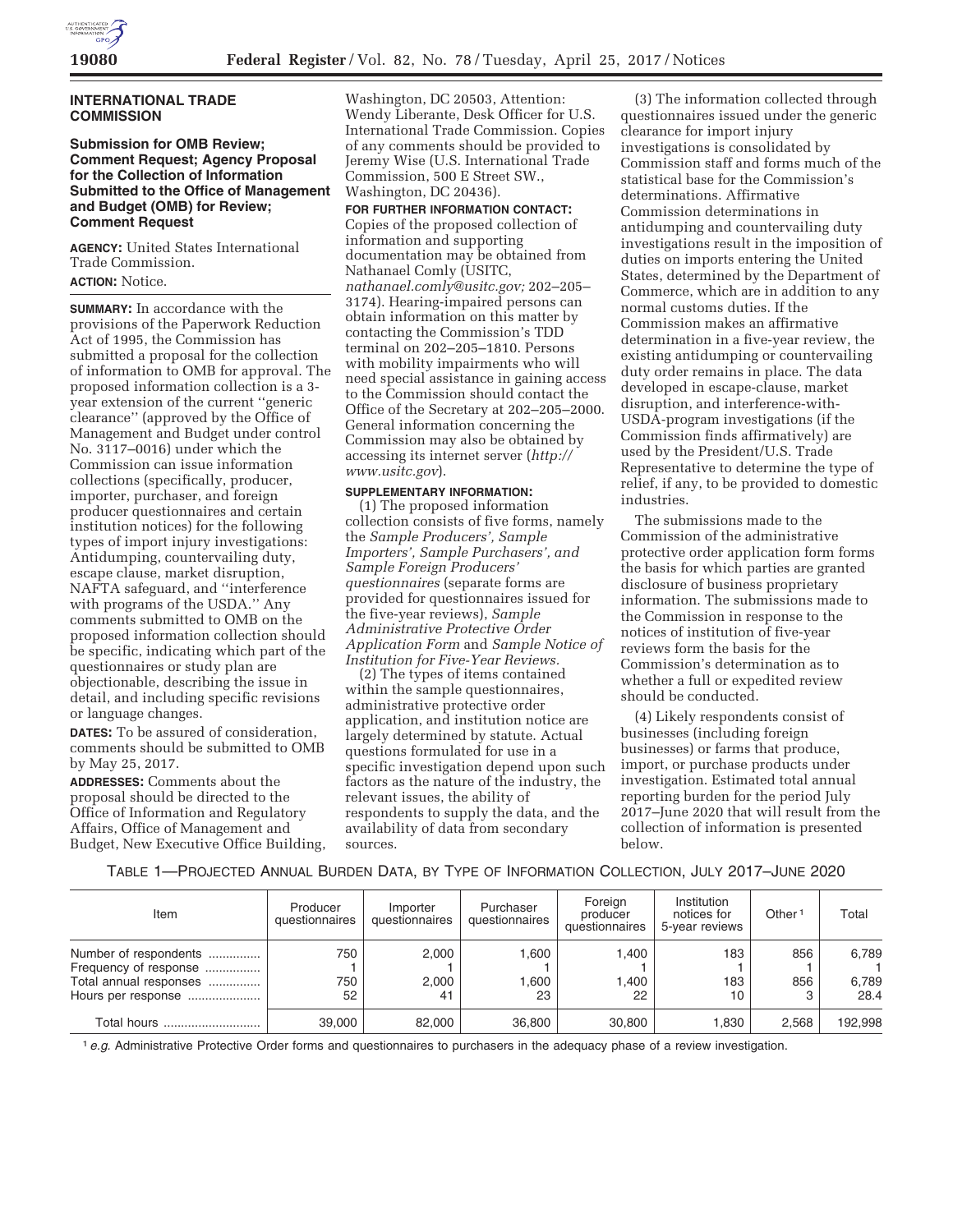

## **INTERNATIONAL TRADE COMMISSION**

### **Submission for OMB Review; Comment Request; Agency Proposal for the Collection of Information Submitted to the Office of Management and Budget (OMB) for Review; Comment Request**

**AGENCY:** United States International Trade Commission.

## **ACTION:** Notice.

**SUMMARY:** In accordance with the provisions of the Paperwork Reduction Act of 1995, the Commission has submitted a proposal for the collection of information to OMB for approval. The proposed information collection is a 3 year extension of the current ''generic clearance'' (approved by the Office of Management and Budget under control No. 3117–0016) under which the Commission can issue information collections (specifically, producer, importer, purchaser, and foreign producer questionnaires and certain institution notices) for the following types of import injury investigations: Antidumping, countervailing duty, escape clause, market disruption, NAFTA safeguard, and ''interference with programs of the USDA.'' Any comments submitted to OMB on the proposed information collection should be specific, indicating which part of the questionnaires or study plan are objectionable, describing the issue in detail, and including specific revisions or language changes.

**DATES:** To be assured of consideration, comments should be submitted to OMB by May 25, 2017.

**ADDRESSES:** Comments about the proposal should be directed to the Office of Information and Regulatory Affairs, Office of Management and Budget, New Executive Office Building,

Washington, DC 20503, Attention: Wendy Liberante, Desk Officer for U.S. International Trade Commission. Copies of any comments should be provided to Jeremy Wise (U.S. International Trade Commission, 500 E Street SW., Washington, DC 20436).

#### **FOR FURTHER INFORMATION CONTACT:**

Copies of the proposed collection of information and supporting documentation may be obtained from Nathanael Comly (USITC, *nathanael.comly@usitc.gov;* 202–205– 3174). Hearing-impaired persons can obtain information on this matter by contacting the Commission's TDD terminal on 202–205–1810. Persons with mobility impairments who will need special assistance in gaining access to the Commission should contact the Office of the Secretary at 202–205–2000. General information concerning the Commission may also be obtained by accessing its internet server (*http:// www.usitc.gov*).

#### **SUPPLEMENTARY INFORMATION:**

(1) The proposed information collection consists of five forms, namely the *Sample Producers', Sample Importers', Sample Purchasers', and Sample Foreign Producers' questionnaires* (separate forms are provided for questionnaires issued for the five-year reviews), *Sample Administrative Protective Order Application Form* and *Sample Notice of Institution for Five-Year Reviews.* 

(2) The types of items contained within the sample questionnaires, administrative protective order application, and institution notice are largely determined by statute. Actual questions formulated for use in a specific investigation depend upon such factors as the nature of the industry, the relevant issues, the ability of respondents to supply the data, and the availability of data from secondary sources.

(3) The information collected through questionnaires issued under the generic clearance for import injury investigations is consolidated by Commission staff and forms much of the statistical base for the Commission's determinations. Affirmative Commission determinations in antidumping and countervailing duty investigations result in the imposition of duties on imports entering the United States, determined by the Department of Commerce, which are in addition to any normal customs duties. If the Commission makes an affirmative determination in a five-year review, the existing antidumping or countervailing duty order remains in place. The data developed in escape-clause, market disruption, and interference-with-USDA-program investigations (if the Commission finds affirmatively) are used by the President/U.S. Trade Representative to determine the type of relief, if any, to be provided to domestic industries.

The submissions made to the Commission of the administrative protective order application form forms the basis for which parties are granted disclosure of business proprietary information. The submissions made to the Commission in response to the notices of institution of five-year reviews form the basis for the Commission's determination as to whether a full or expedited review should be conducted.

(4) Likely respondents consist of businesses (including foreign businesses) or farms that produce, import, or purchase products under investigation. Estimated total annual reporting burden for the period July 2017–June 2020 that will result from the collection of information is presented below.

TABLE 1—PROJECTED ANNUAL BURDEN DATA, BY TYPE OF INFORMATION COLLECTION, JULY 2017–JUNE 2020

| Item                                                                                           | Producer<br>questionnaires | Importer<br>questionnaires | Purchaser<br>questionnaires | Foreign<br>producer<br>questionnaires | Institution<br>notices for<br>5-year reviews | Other <sup>1</sup> | Total                  |
|------------------------------------------------------------------------------------------------|----------------------------|----------------------------|-----------------------------|---------------------------------------|----------------------------------------------|--------------------|------------------------|
| Number of respondents<br>Frequency of response<br>Total annual responses<br>Hours per response | 750<br>750<br>52           | 2,000<br>2.000<br>41       | 1.600<br>1.600<br>23        | .400<br>,400<br>22                    | 183<br>183<br>10                             | 856<br>856         | 6,789<br>6,789<br>28.4 |
| Total hours                                                                                    | 39,000                     | 82.000                     | 36,800                      | 30,800                                | 1.830                                        | 2.568              | 192,998                |

<sup>1</sup> e.g. Administrative Protective Order forms and questionnaires to purchasers in the adequacy phase of a review investigation.